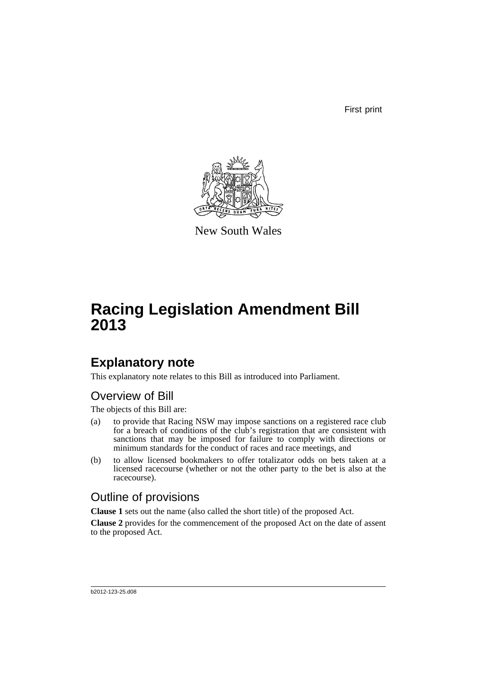First print



New South Wales

# **Racing Legislation Amendment Bill 2013**

## **Explanatory note**

This explanatory note relates to this Bill as introduced into Parliament.

### Overview of Bill

The objects of this Bill are:

- (a) to provide that Racing NSW may impose sanctions on a registered race club for a breach of conditions of the club's registration that are consistent with sanctions that may be imposed for failure to comply with directions or minimum standards for the conduct of races and race meetings, and
- (b) to allow licensed bookmakers to offer totalizator odds on bets taken at a licensed racecourse (whether or not the other party to the bet is also at the racecourse).

### Outline of provisions

**Clause 1** sets out the name (also called the short title) of the proposed Act.

**Clause 2** provides for the commencement of the proposed Act on the date of assent to the proposed Act.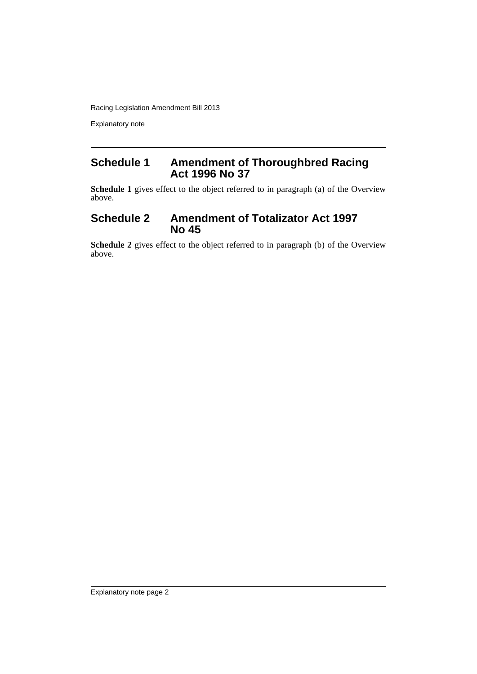Racing Legislation Amendment Bill 2013

Explanatory note

### **Schedule 1 Amendment of Thoroughbred Racing Act 1996 No 37**

**Schedule 1** gives effect to the object referred to in paragraph (a) of the Overview above.

### **Schedule 2 Amendment of Totalizator Act 1997 No 45**

**Schedule 2** gives effect to the object referred to in paragraph (b) of the Overview above.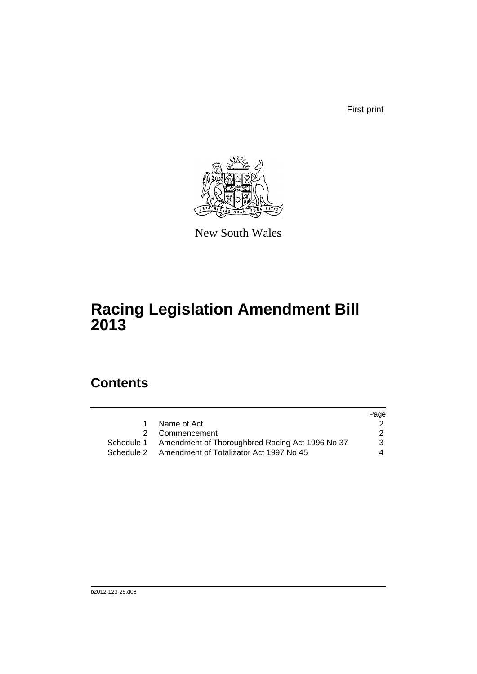First print



New South Wales

## **Racing Legislation Amendment Bill 2013**

## **Contents**

|             | Page                                                                                                                                              |
|-------------|---------------------------------------------------------------------------------------------------------------------------------------------------|
| Name of Act |                                                                                                                                                   |
|             | 2                                                                                                                                                 |
|             | 3                                                                                                                                                 |
|             | 4                                                                                                                                                 |
|             | $\mathbf 1$<br>2 Commencement<br>Schedule 1 Amendment of Thoroughbred Racing Act 1996 No 37<br>Schedule 2 Amendment of Totalizator Act 1997 No 45 |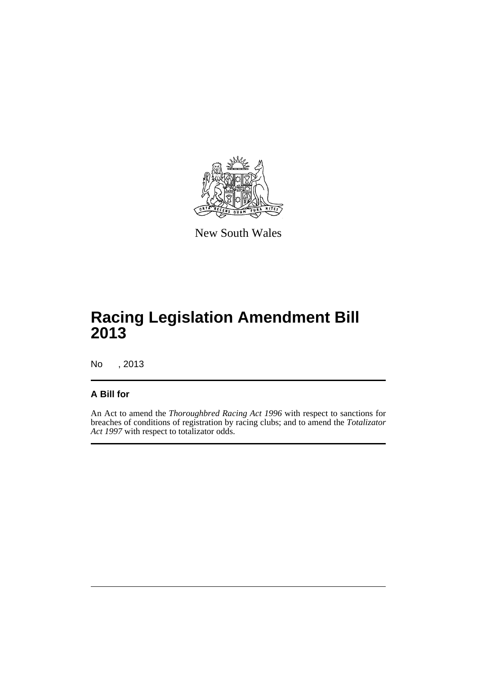

New South Wales

## **Racing Legislation Amendment Bill 2013**

No , 2013

#### **A Bill for**

An Act to amend the *Thoroughbred Racing Act 1996* with respect to sanctions for breaches of conditions of registration by racing clubs; and to amend the *Totalizator Act 1997* with respect to totalizator odds.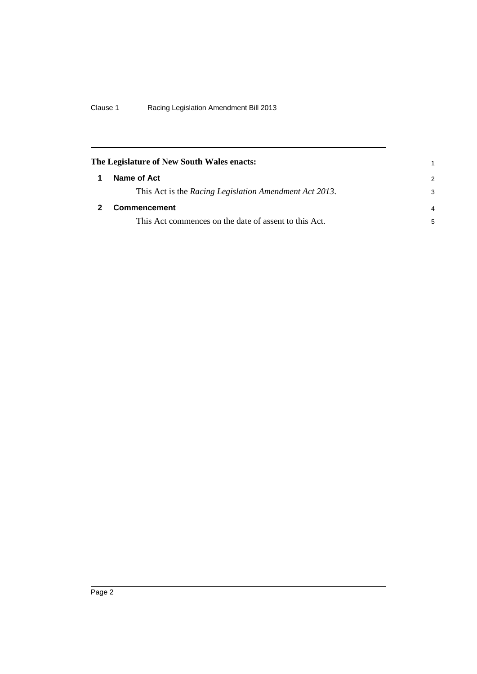<span id="page-5-1"></span><span id="page-5-0"></span>

|   | The Legislature of New South Wales enacts:             |                |
|---|--------------------------------------------------------|----------------|
| 1 | Name of Act                                            | $\mathcal{P}$  |
|   | This Act is the Racing Legislation Amendment Act 2013. | 3              |
|   | <b>Commencement</b>                                    | $\overline{4}$ |
|   | This Act commences on the date of assent to this Act.  | 5              |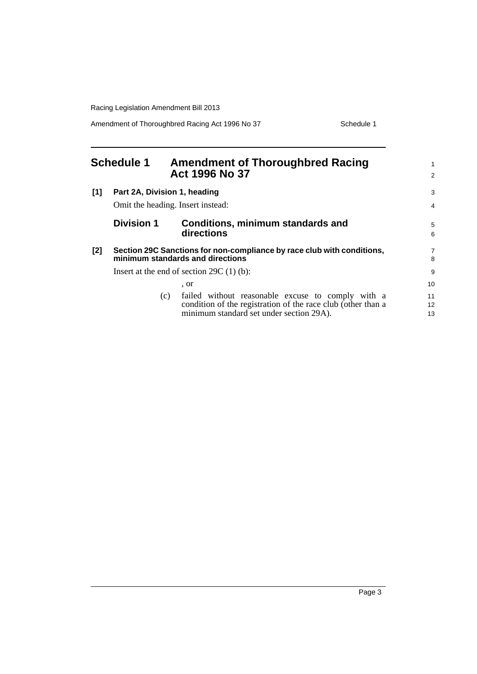Racing Legislation Amendment Bill 2013

Amendment of Thoroughbred Racing Act 1996 No 37 Schedule 1

<span id="page-6-0"></span>

| <b>Schedule 1</b> |                                                                                                            |     | <b>Amendment of Thoroughbred Racing</b><br>Act 1996 No 37                                                                                                     |                |
|-------------------|------------------------------------------------------------------------------------------------------------|-----|---------------------------------------------------------------------------------------------------------------------------------------------------------------|----------------|
| [1]               | Part 2A, Division 1, heading                                                                               |     |                                                                                                                                                               |                |
|                   |                                                                                                            |     | Omit the heading. Insert instead:                                                                                                                             | $\overline{4}$ |
|                   | <b>Division 1</b>                                                                                          |     | <b>Conditions, minimum standards and</b><br>directions                                                                                                        | 5<br>6         |
| $[2]$             | Section 29C Sanctions for non-compliance by race club with conditions,<br>minimum standards and directions |     |                                                                                                                                                               | 7<br>8         |
|                   | Insert at the end of section $29C(1)(b)$ :                                                                 |     |                                                                                                                                                               |                |
|                   |                                                                                                            |     | . or                                                                                                                                                          | 10             |
|                   |                                                                                                            | (c) | failed without reasonable excuse to comply with a<br>condition of the registration of the race club (other than a<br>minimum standard set under section 29A). | 11<br>12<br>13 |